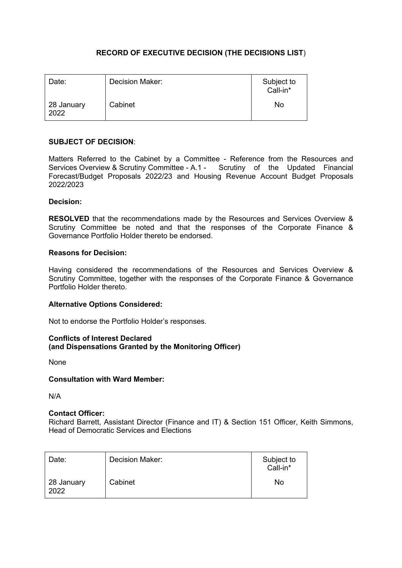# **RECORD OF EXECUTIVE DECISION (THE DECISIONS LIST**)

| Date:              | Decision Maker: | Subject to<br>Call-in* |
|--------------------|-----------------|------------------------|
| 28 January<br>2022 | Cabinet         | No                     |

## **SUBJECT OF DECISION**:

Matters Referred to the Cabinet by a Committee - Reference from the Resources and Services Overview & Scrutiny Committee - A.1 - Scrutiny of the Updated Financial Forecast/Budget Proposals 2022/23 and Housing Revenue Account Budget Proposals 2022/2023

## **Decision:**

**RESOLVED** that the recommendations made by the Resources and Services Overview & Scrutiny Committee be noted and that the responses of the Corporate Finance & Governance Portfolio Holder thereto be endorsed.

#### **Reasons for Decision:**

Having considered the recommendations of the Resources and Services Overview & Scrutiny Committee, together with the responses of the Corporate Finance & Governance Portfolio Holder thereto.

## **Alternative Options Considered:**

Not to endorse the Portfolio Holder's responses.

## **Conflicts of Interest Declared (and Dispensations Granted by the Monitoring Officer)**

None

#### **Consultation with Ward Member:**

N/A

#### **Contact Officer:**

Richard Barrett, Assistant Director (Finance and IT) & Section 151 Officer, Keith Simmons, Head of Democratic Services and Elections

| Date:              | Decision Maker: | Subject to<br>Call-in* |
|--------------------|-----------------|------------------------|
| 28 January<br>2022 | Cabinet         | No                     |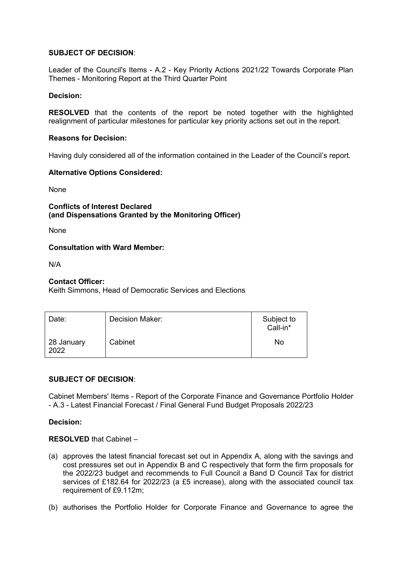## **SUBJECT OF DECISION**:

Leader of the Council's Items - A.2 - Key Priority Actions 2021/22 Towards Corporate Plan Themes - Monitoring Report at the Third Quarter Point

## **Decision:**

**RESOLVED** that the contents of the report be noted together with the highlighted realignment of particular milestones for particular key priority actions set out in the report.

## **Reasons for Decision:**

Having duly considered all of the information contained in the Leader of the Council's report.

## **Alternative Options Considered:**

None

**Conflicts of Interest Declared (and Dispensations Granted by the Monitoring Officer)**

None

## **Consultation with Ward Member:**

N/A

## **Contact Officer:**

Keith Simmons, Head of Democratic Services and Elections

| Date:              | Decision Maker: | Subject to<br>Call-in* |
|--------------------|-----------------|------------------------|
| 28 January<br>2022 | Cabinet         | <b>No</b>              |

## **SUBJECT OF DECISION**:

Cabinet Members' Items - Report of the Corporate Finance and Governance Portfolio Holder - A.3 - Latest Financial Forecast / Final General Fund Budget Proposals 2022/23

**Decision:**

## **RESOLVED** that Cabinet –

- (a) approves the latest financial forecast set out in Appendix A, along with the savings and cost pressures set out in Appendix B and C respectively that form the firm proposals for the 2022/23 budget and recommends to Full Council a Band D Council Tax for district services of £182.64 for 2022/23 (a £5 increase), along with the associated council tax requirement of £9.112m;
- (b) authorises the Portfolio Holder for Corporate Finance and Governance to agree the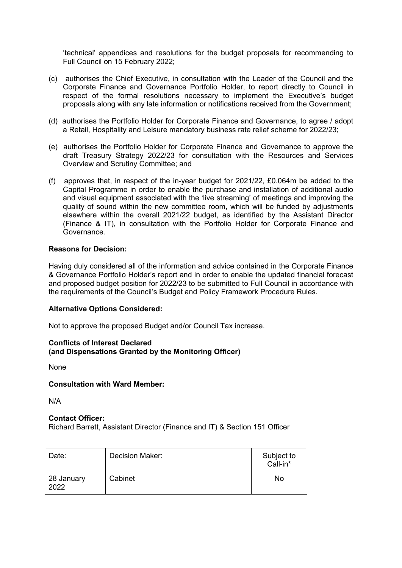'technical' appendices and resolutions for the budget proposals for recommending to Full Council on 15 February 2022;

- (c)authorises the Chief Executive, in consultation with the Leader of the Council and the Corporate Finance and Governance Portfolio Holder, to report directly to Council in respect of the formal resolutions necessary to implement the Executive's budget proposals along with any late information or notifications received from the Government;
- (d) authorises the Portfolio Holder for Corporate Finance and Governance, to agree / adopt a Retail, Hospitality and Leisure mandatory business rate relief scheme for 2022/23;
- (e)authorises the Portfolio Holder for Corporate Finance and Governance to approve the draft Treasury Strategy 2022/23 for consultation with the Resources and Services Overview and Scrutiny Committee; and
- (f)approves that, in respect of the in-year budget for 2021/22, £0.064m be added to the Capital Programme in order to enable the purchase and installation of additional audio and visual equipment associated with the 'live streaming' of meetings and improving the quality of sound within the new committee room, which will be funded by adjustments elsewhere within the overall 2021/22 budget, as identified by the Assistant Director (Finance & IT), in consultation with the Portfolio Holder for Corporate Finance and Governance.

#### **Reasons for Decision:**

Having duly considered all of the information and advice contained in the Corporate Finance & Governance Portfolio Holder's report and in order to enable the updated financial forecast and proposed budget position for 2022/23 to be submitted to Full Council in accordance with the requirements of the Council's Budget and Policy Framework Procedure Rules.

#### **Alternative Options Considered:**

Not to approve the proposed Budget and/or Council Tax increase.

#### **Conflicts of Interest Declared (and Dispensations Granted by the Monitoring Officer)**

None

#### **Consultation with Ward Member:**

N/A

#### **Contact Officer:**

Richard Barrett, Assistant Director (Finance and IT) & Section 151 Officer

| Date:              | Decision Maker: | Subject to<br>Call-in* |
|--------------------|-----------------|------------------------|
| 28 January<br>2022 | Cabinet         | No                     |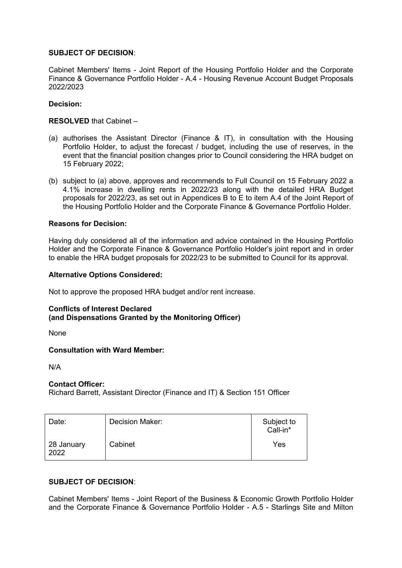## **SUBJECT OF DECISION**:

Cabinet Members' Items - Joint Report of the Housing Portfolio Holder and the Corporate Finance & Governance Portfolio Holder - A.4 - Housing Revenue Account Budget Proposals 2022/2023

## **Decision:**

## **RESOLVED** that Cabinet –

- (a) authorises the Assistant Director (Finance & IT), in consultation with the Housing Portfolio Holder, to adjust the forecast / budget, including the use of reserves, in the event that the financial position changes prior to Council considering the HRA budget on 15 February 2022;
- (b) subject to (a) above, approves and recommends to Full Council on 15 February 2022 a 4.1% increase in dwelling rents in 2022/23 along with the detailed HRA Budget proposals for 2022/23, as set out in Appendices B to E to item A.4 of the Joint Report of the Housing Portfolio Holder and the Corporate Finance & Governance Portfolio Holder.

## **Reasons for Decision:**

Having duly considered all of the information and advice contained in the Housing Portfolio Holder and the Corporate Finance & Governance Portfolio Holder's joint report and in order to enable the HRA budget proposals for 2022/23 to be submitted to Council for its approval.

## **Alternative Options Considered:**

Not to approve the proposed HRA budget and/or rent increase.

## **Conflicts of Interest Declared (and Dispensations Granted by the Monitoring Officer)**

None

## **Consultation with Ward Member:**

N/A

## **Contact Officer:**

Richard Barrett, Assistant Director (Finance and IT) & Section 151 Officer

| Date:              | Decision Maker: | Subject to<br>Call-in* |
|--------------------|-----------------|------------------------|
| 28 January<br>2022 | Cabinet         | Yes                    |

## **SUBJECT OF DECISION**:

Cabinet Members' Items - Joint Report of the Business & Economic Growth Portfolio Holder and the Corporate Finance & Governance Portfolio Holder - A.5 - Starlings Site and Milton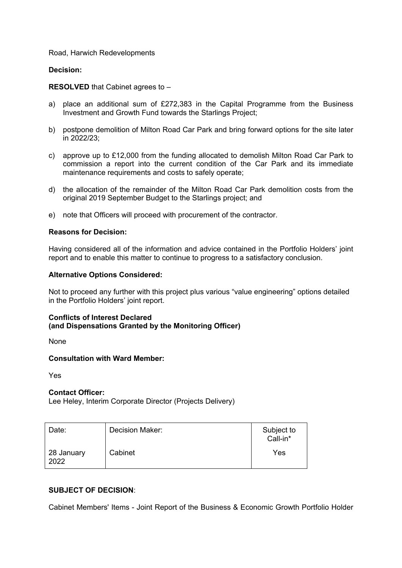#### Road, Harwich Redevelopments

#### **Decision:**

#### **RESOLVED** that Cabinet agrees to –

- a) place an additional sum of £272,383 in the Capital Programme from the Business Investment and Growth Fund towards the Starlings Project;
- b) postpone demolition of Milton Road Car Park and bring forward options for the site later in 2022/23;
- c) approve up to £12,000 from the funding allocated to demolish Milton Road Car Park to commission a report into the current condition of the Car Park and its immediate maintenance requirements and costs to safely operate;
- d) the allocation of the remainder of the Milton Road Car Park demolition costs from the original 2019 September Budget to the Starlings project; and
- e) note that Officers will proceed with procurement of the contractor.

#### **Reasons for Decision:**

Having considered all of the information and advice contained in the Portfolio Holders' joint report and to enable this matter to continue to progress to a satisfactory conclusion.

#### **Alternative Options Considered:**

Not to proceed any further with this project plus various "value engineering" options detailed in the Portfolio Holders' joint report.

#### **Conflicts of Interest Declared (and Dispensations Granted by the Monitoring Officer)**

None

#### **Consultation with Ward Member:**

Yes

#### **Contact Officer:**

Lee Heley, Interim Corporate Director (Projects Delivery)

| Date:              | Decision Maker: | Subject to<br>Call-in* |
|--------------------|-----------------|------------------------|
| 28 January<br>2022 | Cabinet         | Yes                    |

## **SUBJECT OF DECISION**:

Cabinet Members' Items - Joint Report of the Business & Economic Growth Portfolio Holder